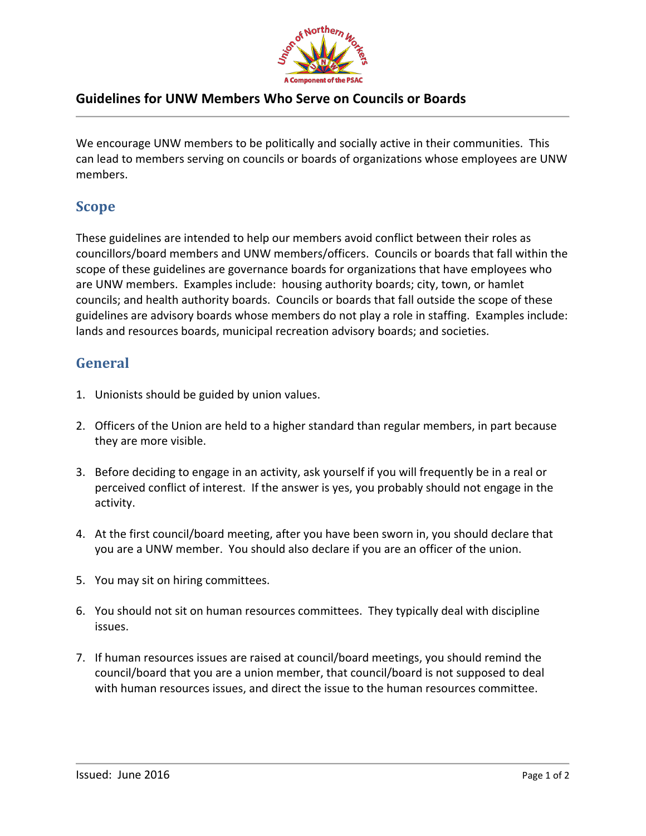

## **Guidelines for UNW Members Who Serve on Councils or Boards**

We encourage UNW members to be politically and socially active in their communities. This can lead to members serving on councils or boards of organizations whose employees are UNW members.

## **Scope**

These guidelines are intended to help our members avoid conflict between their roles as councillors/board members and UNW members/officers. Councils or boards that fall within the scope of these guidelines are governance boards for organizations that have employees who are UNW members. Examples include: housing authority boards; city, town, or hamlet councils; and health authority boards. Councils or boards that fall outside the scope of these guidelines are advisory boards whose members do not play a role in staffing. Examples include: lands and resources boards, municipal recreation advisory boards; and societies.

# **General**

- 1. Unionists should be guided by union values.
- 2. Officers of the Union are held to a higher standard than regular members, in part because they are more visible.
- 3. Before deciding to engage in an activity, ask yourself if you will frequently be in a real or perceived conflict of interest. If the answer is yes, you probably should not engage in the activity.
- 4. At the first council/board meeting, after you have been sworn in, you should declare that you are a UNW member. You should also declare if you are an officer of the union.
- 5. You may sit on hiring committees.
- 6. You should not sit on human resources committees. They typically deal with discipline issues.
- 7. If human resources issues are raised at council/board meetings, you should remind the council/board that you are a union member, that council/board is not supposed to deal with human resources issues, and direct the issue to the human resources committee.